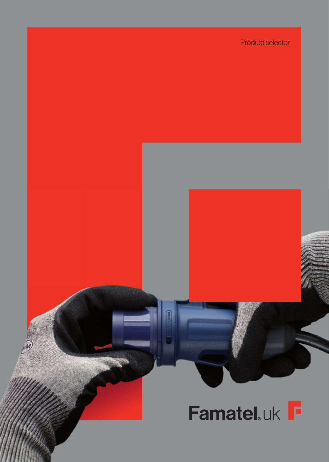## Product selector

# Famatel.uk F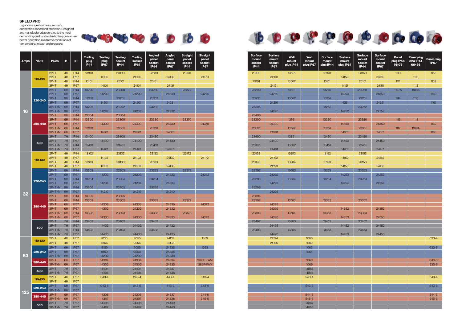| <b>Surface</b><br>mount<br>socket<br><b>IP44</b> | <b>Surface</b><br>mount<br>socket<br><b>IP67</b> | <b>Wall</b><br>mount<br>plug IP44 | <b>Wall</b><br>mount<br>plug IP67 | <b>Surface</b><br>mount<br>plug IP44 | <b>Surface</b><br>mount<br>plug IP67 | <b>Surface</b><br>mount<br>socket<br><b>IP44</b> | <b>Surface</b><br>mount<br>socket<br><b>IP67</b> | Panel<br>plug IP44<br>76×76 | <b>Panel plug</b><br><b>32A IP44</b><br>66×66 | <b>Panel plug</b><br><b>IP67</b> |
|--------------------------------------------------|--------------------------------------------------|-----------------------------------|-----------------------------------|--------------------------------------|--------------------------------------|--------------------------------------------------|--------------------------------------------------|-----------------------------|-----------------------------------------------|----------------------------------|
| 23190                                            |                                                  | 13501                             |                                   | 13150                                |                                      | 23150                                            |                                                  | 1110                        |                                               | 1158                             |
|                                                  | 24190                                            |                                   |                                   |                                      | 14150                                |                                                  | 24150                                            |                             | 1112                                          |                                  |
| 23191                                            |                                                  | 13502                             |                                   | 13151                                |                                      | 23151                                            |                                                  | 1111                        |                                               | 1159                             |
|                                                  | 24191                                            |                                   |                                   |                                      | 14151                                |                                                  | 24151                                            |                             | 1113                                          |                                  |
| 23290                                            |                                                  | 13661                             |                                   | 13250                                |                                      | 23250                                            |                                                  | 1107A                       | 1108A                                         |                                  |
|                                                  | 24290                                            |                                   |                                   |                                      | 14250                                |                                                  | 24250                                            |                             |                                               | 1160                             |
| 23291                                            |                                                  | 13662                             |                                   | 13251                                |                                      | 23251                                            |                                                  | 1114                        | 1118                                          |                                  |
|                                                  | 24291                                            |                                   |                                   |                                      | 14251                                |                                                  | 24251                                            |                             |                                               | 1161                             |
| 23295                                            |                                                  |                                   |                                   | 13252                                |                                      | 23252                                            |                                                  |                             |                                               |                                  |
|                                                  | 24295                                            |                                   |                                   |                                      | 14252                                |                                                  | 24252                                            |                             |                                               |                                  |
| 23406                                            |                                                  |                                   |                                   |                                      |                                      |                                                  |                                                  |                             |                                               |                                  |
| 23390                                            | 24390                                            | 13761                             |                                   | 13350                                | 14350                                | 23350                                            | 24350                                            | 1116                        | 1118                                          | 1162                             |
| 23391                                            |                                                  | 13762                             |                                   | 13351                                |                                      | 23351                                            |                                                  | 1117                        | 1109A                                         |                                  |
|                                                  | 24391                                            |                                   |                                   |                                      | 14351                                |                                                  | 24351                                            |                             |                                               | 1163                             |
| 23490                                            |                                                  | 13861                             |                                   | 13450                                |                                      | 23450                                            |                                                  |                             |                                               |                                  |
|                                                  | 24490                                            |                                   |                                   |                                      | 14450                                |                                                  | 24450                                            |                             |                                               |                                  |
| 23491                                            |                                                  | 13862                             |                                   | 13451                                |                                      | 23451                                            |                                                  |                             |                                               |                                  |
|                                                  | 24491                                            |                                   |                                   |                                      | 14451                                |                                                  | 24451                                            |                             |                                               |                                  |
| 23192                                            |                                                  | 13503                             |                                   | 13152                                |                                      | 23152                                            |                                                  |                             |                                               |                                  |
|                                                  | 24192                                            |                                   |                                   |                                      | 14152                                |                                                  | 24152                                            |                             |                                               |                                  |
| 23193                                            |                                                  | 13504                             |                                   | 13153                                |                                      | 23153                                            |                                                  |                             |                                               |                                  |
|                                                  | 24193                                            |                                   |                                   |                                      | 14153                                |                                                  | 24153                                            |                             |                                               |                                  |
| 23292                                            |                                                  | 13663                             |                                   | 13253                                |                                      | 23253                                            |                                                  |                             |                                               |                                  |
|                                                  | 24292                                            |                                   |                                   |                                      | 14253                                |                                                  | 24253                                            |                             |                                               |                                  |
| 23293                                            |                                                  | 13664                             |                                   | 13254                                |                                      | 23254                                            |                                                  |                             |                                               |                                  |
|                                                  | 24293                                            |                                   |                                   |                                      | 14254                                |                                                  | 24254                                            |                             |                                               |                                  |
| 23296                                            |                                                  |                                   |                                   |                                      |                                      |                                                  |                                                  |                             |                                               |                                  |
|                                                  | 24296                                            |                                   |                                   |                                      |                                      |                                                  |                                                  |                             |                                               |                                  |
| 23394<br>23392                                   |                                                  | 13763                             |                                   | 13352                                |                                      | 23352                                            |                                                  |                             |                                               |                                  |
|                                                  | 24398                                            |                                   |                                   |                                      |                                      |                                                  |                                                  |                             |                                               |                                  |
|                                                  | 24392                                            |                                   |                                   |                                      | 14352                                |                                                  | 24352                                            |                             |                                               |                                  |
| 23393                                            |                                                  | 13764                             |                                   | 13353                                |                                      | 23353                                            |                                                  |                             |                                               |                                  |
|                                                  | 24393                                            |                                   |                                   |                                      | 14353                                |                                                  | 24353                                            |                             |                                               |                                  |
| 23492                                            |                                                  | 13863                             |                                   | 13452                                |                                      | 23452                                            |                                                  |                             |                                               |                                  |
|                                                  | 24492                                            |                                   |                                   |                                      | 14452                                |                                                  | 24452                                            |                             |                                               |                                  |
| 23493                                            |                                                  | 13864                             |                                   | 13453                                |                                      | 23453                                            |                                                  |                             |                                               |                                  |
|                                                  | 24493                                            |                                   |                                   |                                      | 14453                                |                                                  | 24453                                            |                             |                                               |                                  |
|                                                  | 24194                                            |                                   | 1060                              |                                      |                                      |                                                  |                                                  |                             |                                               | 633-4                            |
|                                                  | 24195                                            |                                   | 1059                              |                                      |                                      |                                                  |                                                  |                             |                                               |                                  |
|                                                  |                                                  |                                   | 1063                              |                                      |                                      |                                                  |                                                  |                             |                                               | 633-6                            |
|                                                  |                                                  |                                   | 1064                              |                                      |                                      |                                                  |                                                  |                             |                                               |                                  |
|                                                  |                                                  |                                   |                                   |                                      |                                      |                                                  |                                                  |                             |                                               |                                  |
|                                                  |                                                  |                                   | 1068                              |                                      |                                      |                                                  |                                                  |                             |                                               | 643-6                            |
|                                                  |                                                  |                                   | 1069                              |                                      |                                      |                                                  |                                                  |                             |                                               | 635-6                            |
|                                                  |                                                  |                                   | 14865                             |                                      |                                      |                                                  |                                                  |                             |                                               |                                  |
|                                                  |                                                  |                                   | 14866                             |                                      |                                      |                                                  |                                                  |                             |                                               |                                  |
|                                                  |                                                  |                                   | 543-4                             |                                      |                                      |                                                  |                                                  |                             |                                               | 643-4                            |
|                                                  |                                                  |                                   | 543-6                             |                                      |                                      |                                                  |                                                  |                             |                                               | 643-6                            |
|                                                  |                                                  |                                   |                                   |                                      |                                      |                                                  |                                                  |                             |                                               |                                  |
|                                                  |                                                  |                                   | 544-6                             |                                      |                                      |                                                  |                                                  |                             |                                               | 644-6                            |
|                                                  |                                                  |                                   | 545-6                             |                                      |                                      |                                                  |                                                  |                             |                                               | 645-6                            |
|                                                  |                                                  |                                   | 14867                             |                                      |                                      |                                                  |                                                  |                             |                                               |                                  |
|                                                  |                                                  |                                   | 14868                             |                                      |                                      |                                                  |                                                  |                             |                                               |                                  |
|                                                  |                                                  |                                   |                                   |                                      |                                      |                                                  |                                                  |                             |                                               |                                  |











| <b>Amps</b> | <b>Volts</b> | <b>Poles</b>         | н        | IP                                   | <b>Trailing</b><br>plug<br><b>IP44</b> | <b>Trailing</b><br>plug<br><b>IP67</b> | <b>Trailing</b><br>socket<br><b>IP44</b> | <b>Trailing</b><br>socket<br><b>IP67</b> | <b>Angled</b><br>panel<br>socket<br><b>IP44</b> | <b>Angled</b><br>panel<br>socket<br><b>IP67</b> | <b>Straight</b><br>panel<br>socket<br><b>IP44</b> | <b>Straight</b><br>panel<br>socket<br><b>IP67</b> |
|-------------|--------------|----------------------|----------|--------------------------------------|----------------------------------------|----------------------------------------|------------------------------------------|------------------------------------------|-------------------------------------------------|-------------------------------------------------|---------------------------------------------------|---------------------------------------------------|
|             |              | $2P+T$               | 4H       | IP44                                 | 13100                                  |                                        | 23100                                    |                                          | 23130                                           |                                                 | 23170                                             |                                                   |
|             | 110-130      | $2P+T$               | 4H       | <b>IP67</b>                          |                                        | 14100                                  |                                          | 24100                                    |                                                 | 24130                                           |                                                   | 24170                                             |
|             |              | $3P+T$               | 4H       | IP44                                 | 13101                                  |                                        | 23101                                    |                                          | 23131                                           |                                                 |                                                   |                                                   |
|             |              | $3P+T$<br>$2P+T$     | 4H<br>6H | IP67<br>IP44                         | 13200                                  | 14101                                  | 23200                                    | 24101                                    | 23230                                           | 24131                                           | 23270                                             |                                                   |
|             |              | $2P+T$               | 6H       | IP67                                 |                                        | 14200                                  |                                          | 24200                                    |                                                 | 24230                                           |                                                   | 24270                                             |
|             |              | $3P+T$               | 9H       | IP44                                 | 13201                                  |                                        | 23201                                    |                                          | 23231                                           |                                                 |                                                   |                                                   |
|             | 220-240      | $3P+T$               | 9H       | <b>IP67</b>                          |                                        | 14201                                  |                                          | 24201                                    |                                                 | 24231                                           |                                                   |                                                   |
|             |              | $3P+T+N$             | 9H       | IP44                                 | 13202                                  |                                        | 23202                                    |                                          | 23232                                           |                                                 |                                                   |                                                   |
| 16          |              | $3P+T+N$             | 9H       | <b>IP67</b>                          |                                        | 14202                                  |                                          | 24202                                    |                                                 | 24232                                           |                                                   |                                                   |
|             |              | $2P+T$               | 9H       | <b>IP44</b>                          | 13304                                  |                                        | 23304                                    |                                          |                                                 |                                                 |                                                   |                                                   |
|             |              | $3P+T$               | 6H       | IP44                                 | 13300                                  |                                        | 23300                                    |                                          | 23330                                           |                                                 | 23370                                             |                                                   |
|             | 380-440      | $3P+T$               | 6H       | <b>IP67</b>                          |                                        | 14300                                  |                                          | 24300                                    |                                                 | 24330                                           |                                                   | 24370                                             |
|             |              | $3P+T+N$             | 6H       | <b>IP44</b>                          | 13301                                  |                                        | 23301                                    |                                          | 23331                                           |                                                 |                                                   |                                                   |
|             |              | $3P+T+N$<br>$3P+T$   | 6H<br>7H | IP67<br>IP44                         | 13400                                  | 14301                                  | 23400                                    | 24301                                    | 23430                                           | 24331                                           |                                                   |                                                   |
|             |              | $3P+T$               | 7H       | IP67                                 |                                        | 14400                                  |                                          | 24400                                    |                                                 | 24430                                           |                                                   |                                                   |
|             | 500          | $3P+T+N$             | 7H       | <b>IP44</b>                          | 13401                                  |                                        | 23401                                    |                                          | 23431                                           |                                                 |                                                   |                                                   |
|             |              | $3P+T+N$             | 7H       | IP67                                 |                                        | 14401                                  |                                          | 24401                                    |                                                 | 24431                                           |                                                   |                                                   |
|             |              | $2P+T$               | 4H       | IP44                                 | 13102                                  |                                        | 23102                                    |                                          | 23132                                           |                                                 | 23172                                             |                                                   |
| 32          |              | $2P+T$               | 4H       | IP67                                 |                                        | 14102                                  |                                          | 24102                                    |                                                 | 24132                                           |                                                   | 24172                                             |
|             | 110-130      | $3P+T$               | 4H       | IP44                                 | 13103                                  |                                        | 23103                                    |                                          | 23133                                           |                                                 |                                                   |                                                   |
|             |              | $3P+T$               | 4H       | IP67                                 |                                        | 14103                                  |                                          | 24103                                    |                                                 | 24133                                           |                                                   |                                                   |
|             | 220-240      | $2P+T$               | 6H       | IP44                                 | 13203                                  |                                        | 23203                                    |                                          | 23233                                           |                                                 | 23272                                             |                                                   |
|             |              | $2P+T$               | 6H       | <b>IP67</b>                          |                                        | 14203                                  |                                          | 24203                                    |                                                 | 24233                                           |                                                   | 24272                                             |
|             |              | $3P+T$<br>$3P+T$     | 9H       | IP44<br><b>IP67</b>                  | 13204                                  |                                        | 23204                                    |                                          | 23234                                           |                                                 |                                                   |                                                   |
|             |              | $3P+T+N$             | 9H<br>9H | IP44                                 | 13206                                  | 14204                                  | 23205                                    | 24204                                    | 23235                                           | 24234                                           |                                                   |                                                   |
|             |              | $3P+T+N$             | 9H       | <b>IP67</b>                          |                                        | 14210                                  |                                          | 24210                                    |                                                 | 24240                                           |                                                   |                                                   |
|             |              | $2P+T$               | 9H       | <b>IP44</b>                          | 13305                                  |                                        | 23305                                    |                                          |                                                 |                                                 |                                                   |                                                   |
|             |              | $3P+T$               | 6H       | <b>IP44</b>                          | 13302                                  |                                        | 23302                                    |                                          | 23332                                           |                                                 | 23372                                             |                                                   |
|             | 380-440      | $3P+T$               | 6H       | <b>IP67</b>                          |                                        | 14308                                  |                                          | 24308                                    |                                                 | 24339                                           |                                                   | 24372                                             |
|             |              | $3P+T$               | 6H       | <b>IP67</b>                          |                                        | 14302                                  |                                          | 24302                                    |                                                 | 24332                                           |                                                   |                                                   |
|             |              | $3P+T+N$             | 6H       | IP44                                 | 13303                                  |                                        | 23303                                    |                                          | 23333                                           |                                                 | 23373                                             |                                                   |
|             |              | $3P+T+N$             | 6H       | IP67                                 |                                        | 14303                                  |                                          | 24303                                    |                                                 | 24333                                           |                                                   | 24373                                             |
|             | 500          | $3P+T$               | 7H       | IP44                                 | 13402                                  |                                        | 23402                                    |                                          | 23432                                           |                                                 |                                                   |                                                   |
|             |              | $3P+T$               | 7H       | <b>IP67</b>                          |                                        | 14402                                  |                                          | 24402                                    |                                                 | 24432                                           |                                                   |                                                   |
|             |              | $3P+T+N$<br>$3P+T+N$ | 7H<br>7H | <b>IP44</b><br>IP67                  | 13403                                  | 14403                                  | 23403                                    | 24403                                    | 23433                                           | 24433                                           |                                                   |                                                   |
|             |              | $2P+T$               | 4H       | IP <sub>67</sub>                     |                                        | 9155                                   |                                          | 9055                                     |                                                 | 24137                                           |                                                   | 1359                                              |
|             | 110-130      | $3P+T$               | 4H       | IP67                                 |                                        | 9156                                   |                                          | 9056                                     |                                                 | 24138                                           |                                                   |                                                   |
|             |              | $2P+T$               | 6H       | IP67                                 |                                        | 9159                                   |                                          | 9059                                     |                                                 | 24235                                           |                                                   | 1363                                              |
|             | 220-240      | $3P+T$               | 9H       | <b>IP67</b>                          |                                        | 9160                                   |                                          | 9060                                     |                                                 | 24236                                           |                                                   |                                                   |
| 63          |              | $3P+T+N$             | 9H       | <b>IP67</b>                          |                                        | 14209                                  |                                          | 24209                                    |                                                 | 24238                                           |                                                   |                                                   |
|             | 380-440      | $3P+T$               | 6H       | IP67                                 |                                        | 14304                                  |                                          | 24304                                    |                                                 | 24334                                           |                                                   | 1368P-FAM                                         |
|             |              | $3P+T+N$             | 6H       | IP <sub>67</sub>                     |                                        | 14305                                  |                                          | 24305                                    |                                                 | 24335                                           |                                                   | 1369P-FAM                                         |
|             | 500          | $3P+T$               | 7H       | IP67                                 |                                        | 14404                                  |                                          | 24404                                    |                                                 | 24337                                           |                                                   |                                                   |
|             |              | $3P+T+N$             | 7H       | IP67                                 |                                        | 14405                                  |                                          | 24405                                    |                                                 | 24438                                           |                                                   |                                                   |
|             | 110-130      | $2P+T$<br>$3P+T$     | 4H<br>4H | IP <sub>67</sub><br>IP <sub>67</sub> |                                        | 043-4                                  |                                          | 243-4                                    |                                                 | 443-4                                           |                                                   | $343 - 4$                                         |
|             |              | $3P+T$               | 9H       | <b>IP67</b>                          |                                        | 043-6                                  |                                          | 243-6                                    |                                                 | 443-6                                           |                                                   | 343-6                                             |
|             | 220-240      | $3P+T+N$             | 9H       | IP67                                 |                                        |                                        |                                          |                                          |                                                 |                                                 |                                                   |                                                   |
| 125         |              | $3P+T$               | 6H       | IP67                                 |                                        | 14306                                  |                                          | 24306                                    |                                                 | 24337                                           |                                                   | 344-6                                             |
|             | 380-440      | $3P+T+N$             | 6H       | IP <sub>67</sub>                     |                                        | 14307                                  |                                          | 24307                                    |                                                 | 24338                                           |                                                   | 345-6                                             |
|             |              | $3P+T$               | 7H       | IP67                                 |                                        | 14406                                  |                                          | 24406                                    |                                                 | 24439                                           |                                                   |                                                   |
|             | 500          | $3P+T+N$             | 7H       | IP67                                 |                                        | 14407                                  |                                          | 24407                                    |                                                 | 24440                                           |                                                   |                                                   |



### **SPEED PRO**

Ergonomics, robustness, security, connection speed and precision. Designed and manufactured according to the most demanding quality standards, they guarantee better operation in extreme conditions of temperature, impact and pressure.

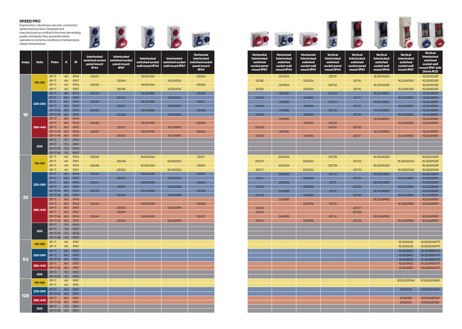| <b>Horizontal</b><br><b>Interlocked</b><br>switched<br>socket panel<br>mount IP67 | <b>Horizontal</b><br><b>Interlocked</b><br>switched<br>socket wall<br>mount IP44 | <b>Horizontal</b><br><b>Interlocked</b><br>switched<br>socket wall<br>mount IP67 | <b>Vertical</b><br><b>Interlocked</b><br>switched<br>socket panel<br>mount IP44 | Vertica<br>Interlock<br>switche<br>socket pa<br>mount IP |
|-----------------------------------------------------------------------------------|----------------------------------------------------------------------------------|----------------------------------------------------------------------------------|---------------------------------------------------------------------------------|----------------------------------------------------------|
|                                                                                   | 3214G4                                                                           |                                                                                  | 25701                                                                           |                                                          |
| 25138                                                                             |                                                                                  | 3216G4                                                                           |                                                                                 | 25715                                                    |
| 25139                                                                             | 3314G4                                                                           | 3316G4                                                                           | 25702                                                                           | 25716                                                    |
|                                                                                   | 3214B6                                                                           |                                                                                  | 25703                                                                           |                                                          |
| 25008                                                                             |                                                                                  | 3216B6                                                                           |                                                                                 | 25717                                                    |
|                                                                                   | 3314B9                                                                           |                                                                                  | 25704                                                                           |                                                          |
| 25068                                                                             |                                                                                  | 3316B9                                                                           |                                                                                 | 25718                                                    |
|                                                                                   | 3414B9                                                                           |                                                                                  | 25705                                                                           |                                                          |
| 25069                                                                             | 3314R6                                                                           | 3416B9                                                                           |                                                                                 | 25719                                                    |
|                                                                                   |                                                                                  | 3316R6                                                                           | 25706                                                                           |                                                          |
| 25009                                                                             |                                                                                  |                                                                                  | 25707                                                                           | 25720                                                    |
|                                                                                   | 3414R6                                                                           |                                                                                  |                                                                                 |                                                          |
| 25010                                                                             |                                                                                  | 3416R6                                                                           |                                                                                 | 25721                                                    |
|                                                                                   |                                                                                  |                                                                                  |                                                                                 |                                                          |
|                                                                                   |                                                                                  |                                                                                  |                                                                                 |                                                          |
|                                                                                   |                                                                                  |                                                                                  |                                                                                 |                                                          |
|                                                                                   | 3234G4                                                                           |                                                                                  | 25708                                                                           |                                                          |
| 25070                                                                             |                                                                                  | 3232G4                                                                           |                                                                                 | 25722                                                    |
|                                                                                   | 3334G4                                                                           |                                                                                  | 25709                                                                           |                                                          |
| 25071                                                                             |                                                                                  | 3332G4                                                                           |                                                                                 | 25723                                                    |
|                                                                                   | 3234B6                                                                           |                                                                                  | 25710                                                                           |                                                          |
| 25011                                                                             | 3334B9                                                                           | 3232B6                                                                           | 25711                                                                           | 25724                                                    |
| 25072                                                                             |                                                                                  | 3332B9                                                                           |                                                                                 | 25725                                                    |
|                                                                                   | 3434B9                                                                           |                                                                                  | 25712                                                                           |                                                          |
| 25073                                                                             |                                                                                  | 3432B9                                                                           |                                                                                 | 25726                                                    |
|                                                                                   | 3334R6                                                                           |                                                                                  |                                                                                 |                                                          |
|                                                                                   |                                                                                  | 3332R6                                                                           | 25713                                                                           |                                                          |
| 25074<br>25012                                                                    |                                                                                  |                                                                                  |                                                                                 | 25727<br>25728                                           |
|                                                                                   | 3434R6                                                                           |                                                                                  | 25714                                                                           |                                                          |
| 25013                                                                             |                                                                                  | 3432R6                                                                           |                                                                                 | 25729                                                    |
|                                                                                   |                                                                                  |                                                                                  |                                                                                 |                                                          |
|                                                                                   |                                                                                  |                                                                                  |                                                                                 |                                                          |
|                                                                                   |                                                                                  |                                                                                  |                                                                                 |                                                          |
|                                                                                   |                                                                                  |                                                                                  |                                                                                 |                                                          |
|                                                                                   |                                                                                  |                                                                                  |                                                                                 |                                                          |
|                                                                                   |                                                                                  |                                                                                  |                                                                                 |                                                          |
|                                                                                   |                                                                                  |                                                                                  |                                                                                 |                                                          |
|                                                                                   |                                                                                  |                                                                                  |                                                                                 |                                                          |
|                                                                                   |                                                                                  |                                                                                  |                                                                                 |                                                          |
|                                                                                   |                                                                                  |                                                                                  |                                                                                 |                                                          |
|                                                                                   |                                                                                  |                                                                                  |                                                                                 |                                                          |
|                                                                                   |                                                                                  |                                                                                  |                                                                                 |                                                          |
|                                                                                   |                                                                                  |                                                                                  |                                                                                 |                                                          |
|                                                                                   |                                                                                  |                                                                                  |                                                                                 |                                                          |
|                                                                                   |                                                                                  |                                                                                  |                                                                                 |                                                          |
|                                                                                   |                                                                                  |                                                                                  |                                                                                 |                                                          |
|                                                                                   |                                                                                  |                                                                                  |                                                                                 |                                                          |
|                                                                                   |                                                                                  |                                                                                  |                                                                                 |                                                          |
|                                                                                   |                                                                                  |                                                                                  |                                                                                 |                                                          |









| orizontal<br>erlocked:<br>witched<br><b>ket panel</b><br>ount IP67 | <b>Horizontal</b><br><b>Interlocked</b><br>switched<br>socket wall<br>mount IP44 | <b>Horizontal</b><br><b>Interlocked</b><br>switched<br>socket wall<br>mount IP67 | <b>Vertical</b><br><b>Interlocked</b><br>switched<br>socket panel<br>mount IP44 | <b>Vertical</b><br><b>Interlocked</b><br>switched<br>socket panel<br>mount IP67 | <b>Vertical</b><br><b>Interlocked</b><br>switched<br>socket wall<br>mount IP44 | <b>Vertical</b><br><b>Interlocked</b><br>switched<br>socket wall<br>mount IP67 | <b>Vertical</b><br><b>Interlocked</b><br>switched<br>socket wall<br>mount IP67 with<br>30mARCD |
|--------------------------------------------------------------------|----------------------------------------------------------------------------------|----------------------------------------------------------------------------------|---------------------------------------------------------------------------------|---------------------------------------------------------------------------------|--------------------------------------------------------------------------------|--------------------------------------------------------------------------------|------------------------------------------------------------------------------------------------|
|                                                                    | 3214G4                                                                           |                                                                                  | 25701                                                                           |                                                                                 | 16.3214G4D                                                                     |                                                                                | 16.3214G4R                                                                                     |
| 25138                                                              |                                                                                  | 3216G4                                                                           |                                                                                 | 25715                                                                           |                                                                                | 16.3216G4D                                                                     | 16.3216G4R                                                                                     |
|                                                                    | 3314G4                                                                           |                                                                                  | 25702                                                                           |                                                                                 | 16.3314G4D                                                                     |                                                                                | 16.3314G4R                                                                                     |
| 25139                                                              |                                                                                  | 3316G4                                                                           |                                                                                 | 25716                                                                           |                                                                                | 16.3316G4D                                                                     | 16.3316G4R                                                                                     |
|                                                                    | 3214B6                                                                           |                                                                                  | 25703                                                                           |                                                                                 | 16.3214B6D                                                                     |                                                                                | 16.3214B6R                                                                                     |
| 25008                                                              |                                                                                  | 3216B6                                                                           |                                                                                 | 25717                                                                           |                                                                                | 16.3216B6D                                                                     | 16.3216B6R                                                                                     |
|                                                                    | 3314B9                                                                           |                                                                                  | 25704                                                                           |                                                                                 | 16.3314B9D                                                                     |                                                                                | 16.3314B9R                                                                                     |
| 25068                                                              |                                                                                  | 3316B9                                                                           |                                                                                 | 25718                                                                           |                                                                                | 16.3316B9D                                                                     | 16.3316B9R                                                                                     |
|                                                                    | 3414B9                                                                           |                                                                                  | 25705                                                                           |                                                                                 | 16.3414B9D                                                                     |                                                                                | 16.3414B9R                                                                                     |
| 25069                                                              |                                                                                  | 3416B9                                                                           |                                                                                 | 25719                                                                           |                                                                                | 16.3416B9D                                                                     | 16.3416B9R                                                                                     |
|                                                                    | 3314R6                                                                           |                                                                                  |                                                                                 |                                                                                 | 16.3314R6D                                                                     |                                                                                | 16.3314R6R                                                                                     |
|                                                                    |                                                                                  | 3316R6                                                                           | 25706                                                                           |                                                                                 |                                                                                | 16.3316R6D                                                                     | 16.3316R6R                                                                                     |
| 25009                                                              |                                                                                  |                                                                                  | 25707                                                                           | 25720                                                                           |                                                                                |                                                                                |                                                                                                |
|                                                                    | 3414R6                                                                           |                                                                                  |                                                                                 |                                                                                 | 16.3414R6D                                                                     |                                                                                | 16.3414R6R                                                                                     |
| 25010                                                              |                                                                                  | 3416R6                                                                           |                                                                                 | 25721                                                                           |                                                                                | 16.3416R6D                                                                     | 16.3416R6R                                                                                     |
|                                                                    |                                                                                  |                                                                                  |                                                                                 |                                                                                 |                                                                                |                                                                                |                                                                                                |
|                                                                    |                                                                                  |                                                                                  |                                                                                 |                                                                                 |                                                                                |                                                                                |                                                                                                |
|                                                                    |                                                                                  |                                                                                  |                                                                                 |                                                                                 |                                                                                |                                                                                |                                                                                                |
|                                                                    | 3234G4                                                                           |                                                                                  | 25708                                                                           |                                                                                 | 16.3234G4D                                                                     |                                                                                | 16.3234G4R                                                                                     |
| 25070                                                              |                                                                                  | 3232G4                                                                           |                                                                                 | 25722                                                                           |                                                                                | 16.3232G4D                                                                     | 16.3232G4R                                                                                     |
|                                                                    | 3334G4                                                                           |                                                                                  | 25709                                                                           |                                                                                 | 16.3334G4D                                                                     |                                                                                | 16.3334G4R                                                                                     |
| 25071                                                              |                                                                                  | 3332G4                                                                           |                                                                                 | 25723                                                                           |                                                                                | 16.3332G4D                                                                     | 16.3332G4R                                                                                     |
|                                                                    | 3234B6                                                                           |                                                                                  | 25710                                                                           |                                                                                 | 16.3234B6D                                                                     |                                                                                | 16.3234B6R                                                                                     |
| 25011                                                              |                                                                                  | 3232B6                                                                           |                                                                                 | 25724                                                                           |                                                                                | 16.3232B6D                                                                     | 16.3232B6R                                                                                     |
|                                                                    | 3334B9                                                                           |                                                                                  | 25711                                                                           |                                                                                 | 16.3334B9D                                                                     |                                                                                | 16.3334B9R                                                                                     |
| 25072                                                              |                                                                                  | 3332B9                                                                           |                                                                                 | 25725                                                                           |                                                                                | 16.3332B9D                                                                     | 16.3332B9R                                                                                     |
|                                                                    | 3434B9                                                                           |                                                                                  | 25712                                                                           |                                                                                 | 16.3434B9D                                                                     |                                                                                | 16.3434B9R                                                                                     |
| 25073                                                              |                                                                                  | 3432B9                                                                           |                                                                                 | 25726                                                                           |                                                                                | 16.3432B9D                                                                     | 16.3432B9R                                                                                     |
|                                                                    | 3334R6                                                                           |                                                                                  |                                                                                 |                                                                                 | 16.3334R6D                                                                     |                                                                                | 16.3334R6R                                                                                     |
|                                                                    |                                                                                  | 3332R6                                                                           | 25713                                                                           |                                                                                 |                                                                                | 16.3332R6D                                                                     | 16.3332R6R                                                                                     |
| 25074                                                              |                                                                                  |                                                                                  |                                                                                 | 25727                                                                           |                                                                                |                                                                                |                                                                                                |
| 25012                                                              |                                                                                  |                                                                                  |                                                                                 | 25728                                                                           |                                                                                |                                                                                |                                                                                                |
|                                                                    | 3434R6                                                                           |                                                                                  | 25714                                                                           |                                                                                 | 16.3434R6D                                                                     |                                                                                | 16.3434R6R                                                                                     |
| 25013                                                              |                                                                                  | 3432R6                                                                           |                                                                                 | 25729                                                                           |                                                                                | 16.3432R6D                                                                     | 16.3432R6R                                                                                     |
|                                                                    |                                                                                  |                                                                                  |                                                                                 |                                                                                 |                                                                                |                                                                                |                                                                                                |
|                                                                    |                                                                                  |                                                                                  |                                                                                 |                                                                                 |                                                                                |                                                                                |                                                                                                |
|                                                                    |                                                                                  |                                                                                  |                                                                                 |                                                                                 |                                                                                |                                                                                |                                                                                                |
|                                                                    |                                                                                  |                                                                                  |                                                                                 |                                                                                 |                                                                                |                                                                                |                                                                                                |
|                                                                    |                                                                                  |                                                                                  |                                                                                 |                                                                                 |                                                                                | 16.263G4D<br>16.363G4D                                                         | 16.263G4MTR<br>16.363G4MTR                                                                     |
|                                                                    |                                                                                  |                                                                                  |                                                                                 |                                                                                 |                                                                                |                                                                                |                                                                                                |
|                                                                    |                                                                                  |                                                                                  |                                                                                 |                                                                                 |                                                                                | 16.263B6D<br>16.363B9D                                                         | 16.263B6MTR<br>16.363B9MTR                                                                     |
|                                                                    |                                                                                  |                                                                                  |                                                                                 |                                                                                 |                                                                                | 16.463B9D                                                                      | 16.463B9MTR                                                                                    |
|                                                                    |                                                                                  |                                                                                  |                                                                                 |                                                                                 |                                                                                | 16.363R6D                                                                      | 16.363R6MTR                                                                                    |
|                                                                    |                                                                                  |                                                                                  |                                                                                 |                                                                                 |                                                                                | 16.463R6D                                                                      | 16.463R6MTR                                                                                    |
|                                                                    |                                                                                  |                                                                                  |                                                                                 |                                                                                 |                                                                                |                                                                                |                                                                                                |
|                                                                    |                                                                                  |                                                                                  |                                                                                 |                                                                                 |                                                                                |                                                                                |                                                                                                |
|                                                                    |                                                                                  |                                                                                  |                                                                                 |                                                                                 |                                                                                | 9755102FAM                                                                     | 9755102FAM2                                                                                    |
|                                                                    |                                                                                  |                                                                                  |                                                                                 |                                                                                 |                                                                                |                                                                                |                                                                                                |
|                                                                    |                                                                                  |                                                                                  |                                                                                 |                                                                                 |                                                                                | 9755102                                                                        | 9755102FAM1                                                                                    |
|                                                                    |                                                                                  |                                                                                  |                                                                                 |                                                                                 |                                                                                |                                                                                |                                                                                                |
|                                                                    |                                                                                  |                                                                                  |                                                                                 |                                                                                 |                                                                                | 9755099                                                                        | 9755099FAM                                                                                     |
|                                                                    |                                                                                  |                                                                                  |                                                                                 |                                                                                 |                                                                                | 9755100                                                                        | 9755100FAM                                                                                     |
|                                                                    |                                                                                  |                                                                                  |                                                                                 |                                                                                 |                                                                                |                                                                                |                                                                                                |
|                                                                    |                                                                                  |                                                                                  |                                                                                 |                                                                                 |                                                                                |                                                                                |                                                                                                |

| manufactured according to the most demanding<br>quality standards, they guarantee better<br>operation in extreme conditions of temperature,<br>impact and pressure. |              |                    |          |                          |                                                                     |                                                                     |                                                          |                                                          |                                                                                   |
|---------------------------------------------------------------------------------------------------------------------------------------------------------------------|--------------|--------------------|----------|--------------------------|---------------------------------------------------------------------|---------------------------------------------------------------------|----------------------------------------------------------|----------------------------------------------------------|-----------------------------------------------------------------------------------|
| <b>Amps</b>                                                                                                                                                         | <b>Volts</b> | <b>Poles</b>       | н        | <b>IP</b>                | <b>Interlocked</b><br>switched socket<br>panel mount<br><b>IP44</b> | <b>Interlocked</b><br>switched socket<br>panel mount<br><b>IP67</b> | <b>Interlocked</b><br>switched socket<br>wall mount IP44 | <b>Interlocked</b><br>switched socket<br>wall mount IP67 | <b>Horizontal</b><br>interlocked<br>switched socket<br>panel mount<br><b>IP44</b> |
|                                                                                                                                                                     |              | $2P+T$             | 4H       | IP44                     | 25031                                                               |                                                                     | 19.3214G4                                                |                                                          | 25054                                                                             |
|                                                                                                                                                                     | 110-130      | $2P+T$             | 4H       | IP67                     |                                                                     | 25045                                                               |                                                          | 19.3216G4                                                |                                                                                   |
|                                                                                                                                                                     |              | $3P+T$             | 4H       | IP44                     | 25032                                                               |                                                                     | 19.3314G4                                                |                                                          | 25055                                                                             |
|                                                                                                                                                                     |              | $3P+T$<br>$2P+T$   | 4H<br>6H | IP67<br>IP44             | 25033                                                               | 25046                                                               | 19.3214B6                                                | 19.3314G4                                                | 25056                                                                             |
|                                                                                                                                                                     |              | $2P+T$             | 6H       | <b>IP67</b>              |                                                                     | 25000                                                               |                                                          | 19.3216G4                                                |                                                                                   |
|                                                                                                                                                                     |              | $3P+T$             | 9H       | IP44                     | 25034                                                               |                                                                     | 19.3314B9                                                |                                                          | 25057                                                                             |
|                                                                                                                                                                     | 220-240      | $3P+T$             | 9H       | <b>IP67</b>              |                                                                     | 25047                                                               |                                                          | 19.3316B9                                                |                                                                                   |
|                                                                                                                                                                     |              | $3P+T+N$           | 9H       | IP44                     | 25035                                                               |                                                                     | 19.3414B9                                                |                                                          | 25058                                                                             |
| 16                                                                                                                                                                  |              | $3P+T+N$           | 9H       | IP67                     |                                                                     | 25048                                                               |                                                          | 19.3416B9                                                |                                                                                   |
|                                                                                                                                                                     |              | $2P+T$             | 9H       | IP44                     |                                                                     |                                                                     |                                                          |                                                          |                                                                                   |
|                                                                                                                                                                     |              | $3P+T$             | 6H       | IP44                     | 25036                                                               |                                                                     | 19.3314R6                                                |                                                          | 25059                                                                             |
|                                                                                                                                                                     | 380-440      | $3P+T$<br>$3P+T+N$ | 6H       | <b>IP67</b><br>IP44      |                                                                     | 25001                                                               |                                                          | 19.3316R6                                                |                                                                                   |
|                                                                                                                                                                     |              | $3P+T+N$           | 6H<br>6H | <b>IP67</b>              | 25037                                                               | 25002                                                               | 19.3414R6                                                | 19.3416R6                                                | 25060                                                                             |
|                                                                                                                                                                     |              | $3P+T$             | 7H       | IP44                     |                                                                     |                                                                     |                                                          |                                                          |                                                                                   |
|                                                                                                                                                                     |              | $3P+T$             | 7H       | IP67                     |                                                                     |                                                                     |                                                          |                                                          |                                                                                   |
|                                                                                                                                                                     | 500          | $3P+T+N$           | 7H       | IP44                     |                                                                     |                                                                     |                                                          |                                                          |                                                                                   |
|                                                                                                                                                                     |              | $3P+T+N$           | 7H       | IP67                     |                                                                     |                                                                     |                                                          |                                                          |                                                                                   |
|                                                                                                                                                                     | 110-130      | $2P+T$             | 4H       | IP44                     | 25038                                                               |                                                                     | 19.3234G4                                                |                                                          | 25137                                                                             |
|                                                                                                                                                                     |              | $2P+T$             | 4H       | IP67                     |                                                                     | 25049                                                               |                                                          | 19.3232G4                                                |                                                                                   |
|                                                                                                                                                                     |              | $3P+T$             | 4H       | IP44                     | 25039                                                               |                                                                     | 19.3334G4                                                |                                                          | 25061                                                                             |
|                                                                                                                                                                     |              | $3P+T$<br>$2P+T$   | 4H<br>6H | IP <sub>67</sub><br>IP44 | 25040                                                               | 25050                                                               | 19.3234B6                                                | 19.3332G4                                                | 25063                                                                             |
|                                                                                                                                                                     |              | $2P+T$             | 6H       | <b>IP67</b>              |                                                                     | 25003                                                               |                                                          | 19.3232G4                                                |                                                                                   |
|                                                                                                                                                                     |              | $3P+T$             | 9H       | IP44                     | 25041                                                               |                                                                     | 19.3334B9                                                |                                                          | 25064                                                                             |
|                                                                                                                                                                     | 220-240      | $3P+T$             | 9H       | IP67                     |                                                                     | 25051                                                               |                                                          | 19.3332B9                                                |                                                                                   |
|                                                                                                                                                                     |              | $3P+T+N$           | 9H       | IP44                     | 25042                                                               |                                                                     | 19.3434B9                                                |                                                          | 25065                                                                             |
| 32                                                                                                                                                                  |              | $3P+T+N$           | 9H       | IP67                     |                                                                     | 25052                                                               |                                                          | 19.3432B9                                                |                                                                                   |
|                                                                                                                                                                     | 380-440      | $2P+T$             | 9H       | IP44                     |                                                                     |                                                                     |                                                          |                                                          |                                                                                   |
|                                                                                                                                                                     |              | $3P+T$             | 6H       | IP44                     | 25043                                                               |                                                                     | 19.3334R6                                                |                                                          | 25066                                                                             |
|                                                                                                                                                                     |              | $3P+T$<br>$3P+T$   | 6H       | IP <sub>67</sub>         |                                                                     | 25053<br>25054                                                      |                                                          | 19.3332R6                                                |                                                                                   |
|                                                                                                                                                                     |              | $3P+T+N$           | 6H<br>6H | IP <sub>67</sub><br>IP44 | 25044                                                               |                                                                     | 19.3434R6                                                |                                                          | 25067                                                                             |
|                                                                                                                                                                     |              | $3P+T+N$           | 6H       | IP <sub>67</sub>         |                                                                     | 25005                                                               |                                                          | 19.3432R6                                                |                                                                                   |
|                                                                                                                                                                     |              | $3P+T$             | 7H       | <b>IP44</b>              |                                                                     |                                                                     |                                                          |                                                          |                                                                                   |
|                                                                                                                                                                     | 500          | $3P+T$             | 7H       | IP67                     |                                                                     |                                                                     |                                                          |                                                          |                                                                                   |
|                                                                                                                                                                     |              | $3P+T+N$           | 7H       | <b>IP44</b>              |                                                                     |                                                                     |                                                          |                                                          |                                                                                   |
|                                                                                                                                                                     |              | $3P+T+N$           | 7H       | IP67                     |                                                                     |                                                                     |                                                          |                                                          |                                                                                   |
|                                                                                                                                                                     | 110-130      | $2P+T$             | 4H       | IP67                     |                                                                     |                                                                     |                                                          |                                                          |                                                                                   |
|                                                                                                                                                                     |              | $3P+T$             | 4H       | IP67                     |                                                                     |                                                                     |                                                          |                                                          |                                                                                   |
|                                                                                                                                                                     |              | $2P+T$             | 6H       | IP67                     |                                                                     |                                                                     |                                                          |                                                          |                                                                                   |
| 63                                                                                                                                                                  | 220-240      | $3P+T$<br>$3P+T+N$ | 9H<br>9H | IP <sub>67</sub><br>IP67 |                                                                     |                                                                     |                                                          |                                                          |                                                                                   |
|                                                                                                                                                                     |              | $3P+T$             | 6H       | IP <sub>67</sub>         |                                                                     |                                                                     |                                                          |                                                          |                                                                                   |
|                                                                                                                                                                     | 380-440      | $3P+T+N$           | 6H       | IP67                     |                                                                     |                                                                     |                                                          |                                                          |                                                                                   |
|                                                                                                                                                                     |              | $3P+T$             | 7H       | IP67                     |                                                                     |                                                                     |                                                          |                                                          |                                                                                   |
|                                                                                                                                                                     | 500          | $3P+T+N$           | 7H       | IP67                     |                                                                     |                                                                     |                                                          |                                                          |                                                                                   |
|                                                                                                                                                                     | 110-130      | $2P+T$             | 4H       | IP <sub>67</sub>         |                                                                     |                                                                     |                                                          |                                                          |                                                                                   |
|                                                                                                                                                                     |              | $3P+T$             | 4H       | IP <sub>67</sub>         |                                                                     |                                                                     |                                                          |                                                          |                                                                                   |
|                                                                                                                                                                     | 220-240      | $3P+T$             | 9H       | IP67                     |                                                                     |                                                                     |                                                          |                                                          |                                                                                   |
| 125                                                                                                                                                                 |              | 3P+T+N             | 9H       | IP <sub>67</sub>         |                                                                     |                                                                     |                                                          |                                                          |                                                                                   |







**380-440** 3P+T 6H IP67

3P+T+N 6H IP67









**<sup>500</sup>** 3P+T 7H IP67 3P+T+N 7H IP67

### **SPEED PRO**

Ergonomics, robustness, security, connection speed and precision. Designed and manufactured according to the most demanding quality standards, they guarantee better operation in extreme conditions of temperature, impact and pressure.